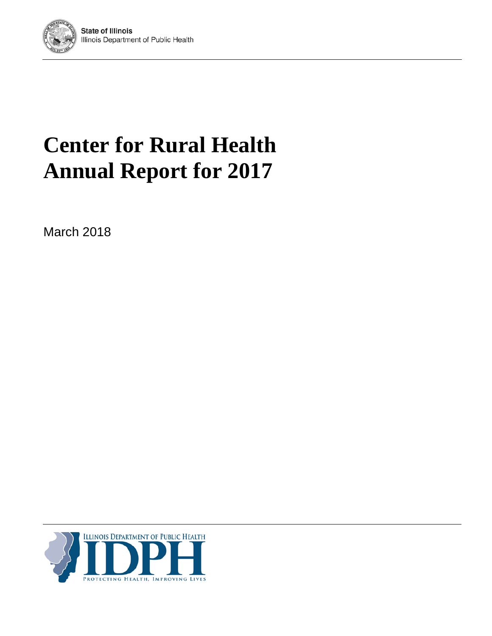

# **Center for Rural Health Annual Report for 2017**

March 2018

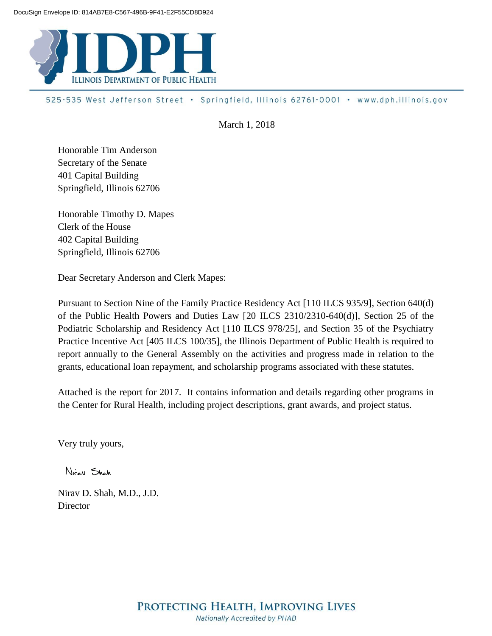

525-535 West Jefferson Street · Springfield, Illinois 62761-0001 · www.dph.illinois.gov

March 1, 2018

Honorable Tim Anderson Secretary of the Senate 401 Capital Building Springfield, Illinois 62706

Honorable Timothy D. Mapes Clerk of the House 402 Capital Building Springfield, Illinois 62706

Dear Secretary Anderson and Clerk Mapes:

Pursuant to Section Nine of the Family Practice Residency Act [110 ILCS 935/9], Section 640(d) of the Public Health Powers and Duties Law [20 ILCS 2310/2310-640(d)], Section 25 of the Podiatric Scholarship and Residency Act [110 ILCS 978/25], and Section 35 of the Psychiatry Practice Incentive Act [405 ILCS 100/35], the Illinois Department of Public Health is required to report annually to the General Assembly on the activities and progress made in relation to the grants, educational loan repayment, and scholarship programs associated with these statutes.

Attached is the report for 2017. It contains information and details regarding other programs in the Center for Rural Health, including project descriptions, grant awards, and project status.

Very truly yours,

Nicar Shah

Nirav D. Shah, M.D., J.D. **Director**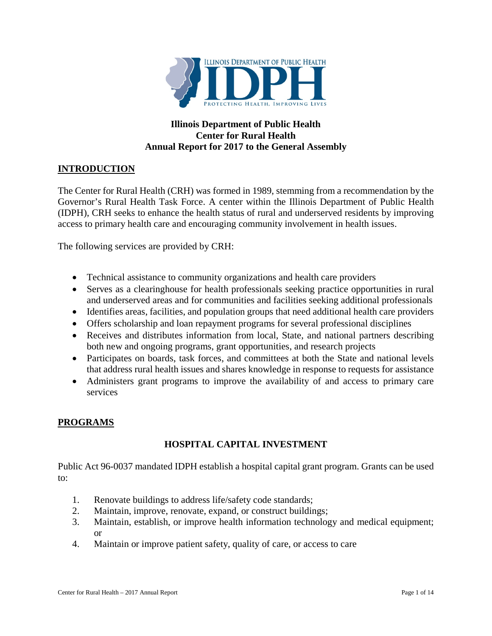

# **Illinois Department of Public Health Center for Rural Health Annual Report for 2017 to the General Assembly**

# **INTRODUCTION**

The Center for Rural Health (CRH) was formed in 1989, stemming from a recommendation by the Governor's Rural Health Task Force. A center within the Illinois Department of Public Health (IDPH), CRH seeks to enhance the health status of rural and underserved residents by improving access to primary health care and encouraging community involvement in health issues.

The following services are provided by CRH:

- Technical assistance to community organizations and health care providers
- Serves as a clearinghouse for health professionals seeking practice opportunities in rural and underserved areas and for communities and facilities seeking additional professionals
- Identifies areas, facilities, and population groups that need additional health care providers
- Offers scholarship and loan repayment programs for several professional disciplines
- Receives and distributes information from local, State, and national partners describing both new and ongoing programs, grant opportunities, and research projects
- Participates on boards, task forces, and committees at both the State and national levels that address rural health issues and shares knowledge in response to requests for assistance
- Administers grant programs to improve the availability of and access to primary care services

#### **PROGRAMS**

# **HOSPITAL CAPITAL INVESTMENT**

Public Act 96-0037 mandated IDPH establish a hospital capital grant program. Grants can be used to:

- 1. Renovate buildings to address life/safety code standards;
- 2. Maintain, improve, renovate, expand, or construct buildings;
- 3. Maintain, establish, or improve health information technology and medical equipment; or
- 4. Maintain or improve patient safety, quality of care, or access to care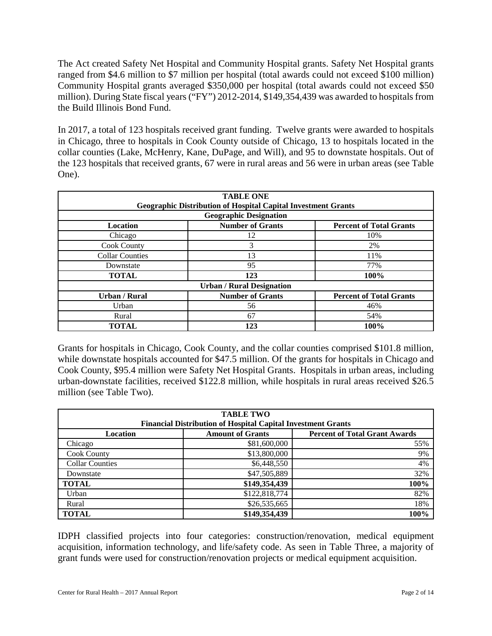The Act created Safety Net Hospital and Community Hospital grants. Safety Net Hospital grants ranged from \$4.6 million to \$7 million per hospital (total awards could not exceed \$100 million) Community Hospital grants averaged \$350,000 per hospital (total awards could not exceed \$50 million). During State fiscal years ("FY") 2012-2014, \$149,354,439 was awarded to hospitals from the Build Illinois Bond Fund.

In 2017, a total of 123 hospitals received grant funding. Twelve grants were awarded to hospitals in Chicago, three to hospitals in Cook County outside of Chicago, 13 to hospitals located in the collar counties (Lake, McHenry, Kane, DuPage, and Will), and 95 to downstate hospitals. Out of the 123 hospitals that received grants, 67 were in rural areas and 56 were in urban areas (see Table One).

| <b>TABLE ONE</b><br><b>Geographic Distribution of Hospital Capital Investment Grants</b> |                                  |                                |  |  |  |  |  |  |
|------------------------------------------------------------------------------------------|----------------------------------|--------------------------------|--|--|--|--|--|--|
| <b>Geographic Designation</b>                                                            |                                  |                                |  |  |  |  |  |  |
| <b>Location</b>                                                                          | <b>Number of Grants</b>          | <b>Percent of Total Grants</b> |  |  |  |  |  |  |
| Chicago                                                                                  | 12                               | 10%                            |  |  |  |  |  |  |
| <b>Cook County</b>                                                                       | 3                                | 2%                             |  |  |  |  |  |  |
| <b>Collar Counties</b>                                                                   | 13                               | 11%                            |  |  |  |  |  |  |
| Downstate                                                                                | 95                               | 77%                            |  |  |  |  |  |  |
| <b>TOTAL</b>                                                                             | 123                              | 100%                           |  |  |  |  |  |  |
|                                                                                          | <b>Urban / Rural Designation</b> |                                |  |  |  |  |  |  |
| <b>Urban / Rural</b>                                                                     | <b>Number of Grants</b>          | <b>Percent of Total Grants</b> |  |  |  |  |  |  |
| Urban                                                                                    | 56                               | 46%                            |  |  |  |  |  |  |
| Rural                                                                                    | 67                               | 54%                            |  |  |  |  |  |  |
| <b>TOTAL</b>                                                                             | 123                              | 100%                           |  |  |  |  |  |  |

Grants for hospitals in Chicago, Cook County, and the collar counties comprised \$101.8 million, while downstate hospitals accounted for \$47.5 million. Of the grants for hospitals in Chicago and Cook County, \$95.4 million were Safety Net Hospital Grants. Hospitals in urban areas, including urban-downstate facilities, received \$122.8 million, while hospitals in rural areas received \$26.5 million (see Table Two).

| <b>TABLE TWO</b>                                                    |                         |                                      |  |  |  |  |  |  |
|---------------------------------------------------------------------|-------------------------|--------------------------------------|--|--|--|--|--|--|
| <b>Financial Distribution of Hospital Capital Investment Grants</b> |                         |                                      |  |  |  |  |  |  |
| Location                                                            | <b>Amount of Grants</b> | <b>Percent of Total Grant Awards</b> |  |  |  |  |  |  |
| Chicago                                                             | \$81,600,000            | 55%                                  |  |  |  |  |  |  |
| <b>Cook County</b>                                                  | \$13,800,000            | 9%                                   |  |  |  |  |  |  |
| <b>Collar Counties</b>                                              | \$6,448,550             | 4%                                   |  |  |  |  |  |  |
| Downstate                                                           | \$47,505,889            | 32%                                  |  |  |  |  |  |  |
| <b>TOTAL</b>                                                        | \$149,354,439           | 100%                                 |  |  |  |  |  |  |
| Urban                                                               | \$122,818,774           | 82%                                  |  |  |  |  |  |  |
| Rural                                                               | \$26,535,665            | 18%                                  |  |  |  |  |  |  |
| <b>TOTAL</b>                                                        | \$149,354,439           | 100%                                 |  |  |  |  |  |  |

IDPH classified projects into four categories: construction/renovation, medical equipment acquisition, information technology, and life/safety code. As seen in Table Three, a majority of grant funds were used for construction/renovation projects or medical equipment acquisition.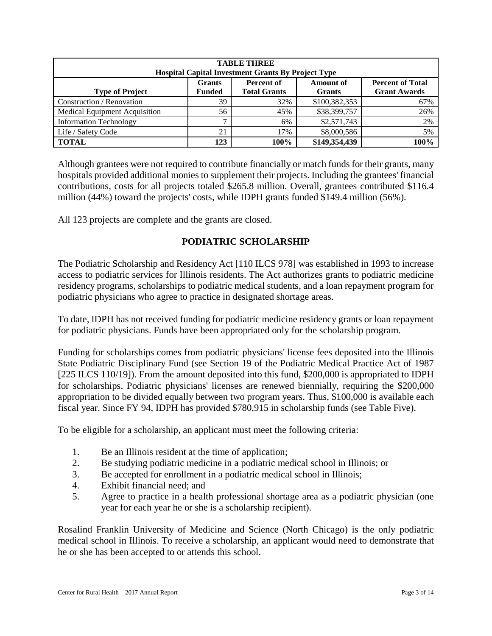| <b>TABLE THREE</b><br><b>Hospital Capital Investment Grants By Project Type</b>                                                                                                             |     |      |               |      |  |  |  |  |  |  |
|---------------------------------------------------------------------------------------------------------------------------------------------------------------------------------------------|-----|------|---------------|------|--|--|--|--|--|--|
| <b>Amount of</b><br><b>Percent of Total</b><br><b>Grants</b><br><b>Percent of</b><br><b>Total Grants</b><br><b>Grant Awards</b><br><b>Funded</b><br><b>Type of Project</b><br><b>Grants</b> |     |      |               |      |  |  |  |  |  |  |
| Construction / Renovation                                                                                                                                                                   | 39  | 32%  | \$100,382,353 | 67%  |  |  |  |  |  |  |
| Medical Equipment Acquisition                                                                                                                                                               | 56  | 45%  | \$38,399,757  | 26%  |  |  |  |  |  |  |
| <b>Information Technology</b>                                                                                                                                                               | −   | 6%   | \$2,571,743   | 2%   |  |  |  |  |  |  |
| Life / Safety Code                                                                                                                                                                          | 21  | 17%  | \$8,000,586   | 5%   |  |  |  |  |  |  |
| <b>TOTAL</b>                                                                                                                                                                                | 123 | 100% | \$149,354,439 | 100% |  |  |  |  |  |  |

Although grantees were not required to contribute financially or match funds for their grants, many hospitals provided additional monies to supplement their projects. Including the grantees' financial contributions, costs for all projects totaled \$265.8 million. Overall, grantees contributed \$116.4 million (44%) toward the projects' costs, while IDPH grants funded \$149.4 million (56%).

All 123 projects are complete and the grants are closed.

# **PODIATRIC SCHOLARSHIP**

The Podiatric Scholarship and Residency Act [110 ILCS 978] was established in 1993 to increase access to podiatric services for Illinois residents. The Act authorizes grants to podiatric medicine residency programs, scholarships to podiatric medical students, and a loan repayment program for podiatric physicians who agree to practice in designated shortage areas.

To date, IDPH has not received funding for podiatric medicine residency grants or loan repayment for podiatric physicians. Funds have been appropriated only for the scholarship program.

Funding for scholarships comes from podiatric physicians' license fees deposited into the Illinois State Podiatric Disciplinary Fund (see Section 19 of the Podiatric Medical Practice Act of 1987 [225 ILCS 110/19]). From the amount deposited into this fund, \$200,000 is appropriated to IDPH for scholarships. Podiatric physicians' licenses are renewed biennially, requiring the \$200,000 appropriation to be divided equally between two program years. Thus, \$100,000 is available each fiscal year. Since FY 94, IDPH has provided \$780,915 in scholarship funds (see Table Five).

To be eligible for a scholarship, an applicant must meet the following criteria:

- 1. Be an Illinois resident at the time of application;
- 2. Be studying podiatric medicine in a podiatric medical school in Illinois; or
- 3. Be accepted for enrollment in a podiatric medical school in Illinois;
- 4. Exhibit financial need; and
- 5. Agree to practice in a health professional shortage area as a podiatric physician (one year for each year he or she is a scholarship recipient).

Rosalind Franklin University of Medicine and Science (North Chicago) is the only podiatric medical school in Illinois. To receive a scholarship, an applicant would need to demonstrate that he or she has been accepted to or attends this school.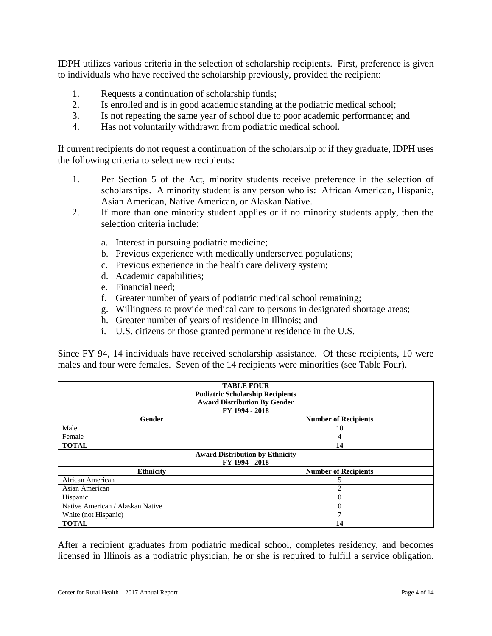IDPH utilizes various criteria in the selection of scholarship recipients. First, preference is given to individuals who have received the scholarship previously, provided the recipient:

- 1. Requests a continuation of scholarship funds;
- 2. Is enrolled and is in good academic standing at the podiatric medical school;
- 3. Is not repeating the same year of school due to poor academic performance; and
- 4. Has not voluntarily withdrawn from podiatric medical school.

If current recipients do not request a continuation of the scholarship or if they graduate, IDPH uses the following criteria to select new recipients:

- 1. Per Section 5 of the Act, minority students receive preference in the selection of scholarships. A minority student is any person who is: African American, Hispanic, Asian American, Native American, or Alaskan Native.
- 2. If more than one minority student applies or if no minority students apply, then the selection criteria include:
	- a. Interest in pursuing podiatric medicine;
	- b. Previous experience with medically underserved populations;
	- c. Previous experience in the health care delivery system;
	- d. Academic capabilities;
	- e. Financial need;
	- f. Greater number of years of podiatric medical school remaining;
	- g. Willingness to provide medical care to persons in designated shortage areas;
	- h. Greater number of years of residence in Illinois; and
	- i. U.S. citizens or those granted permanent residence in the U.S.

Since FY 94, 14 individuals have received scholarship assistance. Of these recipients, 10 were males and four were females. Seven of the 14 recipients were minorities (see Table Four).

| <b>TABLE FOUR</b><br><b>Podiatric Scholarship Recipients</b><br><b>Award Distribution By Gender</b><br>FY 1994 - 2018 |                             |  |  |  |  |  |  |
|-----------------------------------------------------------------------------------------------------------------------|-----------------------------|--|--|--|--|--|--|
| Gender                                                                                                                | <b>Number of Recipients</b> |  |  |  |  |  |  |
| Male                                                                                                                  | 10                          |  |  |  |  |  |  |
| Female                                                                                                                | 4                           |  |  |  |  |  |  |
| <b>TOTAL</b>                                                                                                          | 14                          |  |  |  |  |  |  |
| <b>Award Distribution by Ethnicity</b>                                                                                |                             |  |  |  |  |  |  |
|                                                                                                                       | FY 1994 - 2018              |  |  |  |  |  |  |
| <b>Ethnicity</b>                                                                                                      | <b>Number of Recipients</b> |  |  |  |  |  |  |
| African American                                                                                                      | 5                           |  |  |  |  |  |  |
| Asian American                                                                                                        | 2                           |  |  |  |  |  |  |
| Hispanic                                                                                                              | 0                           |  |  |  |  |  |  |
| Native American / Alaskan Native                                                                                      | $\theta$                    |  |  |  |  |  |  |
| White (not Hispanic)                                                                                                  |                             |  |  |  |  |  |  |
| <b>TOTAL</b>                                                                                                          | 14                          |  |  |  |  |  |  |

After a recipient graduates from podiatric medical school, completes residency, and becomes licensed in Illinois as a podiatric physician, he or she is required to fulfill a service obligation.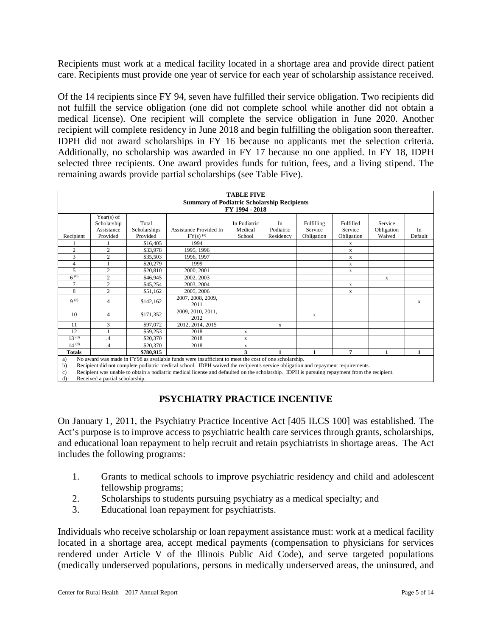Recipients must work at a medical facility located in a shortage area and provide direct patient care. Recipients must provide one year of service for each year of scholarship assistance received.

Of the 14 recipients since FY 94, seven have fulfilled their service obligation. Two recipients did not fulfill the service obligation (one did not complete school while another did not obtain a medical license). One recipient will complete the service obligation in June 2020. Another recipient will complete residency in June 2018 and begin fulfilling the obligation soon thereafter. IDPH did not award scholarships in FY 16 because no applicants met the selection criteria. Additionally, no scholarship was awarded in FY 17 because no one applied. In FY 18, IDPH selected three recipients. One award provides funds for tuition, fees, and a living stipend. The remaining awards provide partial scholarships (see Table Five).

|                  | <b>TABLE FIVE</b> |              |                                                                                                                                 |              |           |            |            |            |         |  |  |
|------------------|-------------------|--------------|---------------------------------------------------------------------------------------------------------------------------------|--------------|-----------|------------|------------|------------|---------|--|--|
|                  |                   |              |                                                                                                                                 |              |           |            |            |            |         |  |  |
|                  |                   |              | <b>Summary of Podiatric Scholarship Recipients</b>                                                                              |              |           |            |            |            |         |  |  |
| FY 1994 - 2018   |                   |              |                                                                                                                                 |              |           |            |            |            |         |  |  |
|                  | Year(s) of        |              |                                                                                                                                 |              |           |            |            |            |         |  |  |
|                  | Scholarship       | Total        |                                                                                                                                 | In Podiatric | In        | Fulfilling | Fulfilled  | Service    |         |  |  |
|                  | Assistance        | Scholarships | Assistance Provided In                                                                                                          | Medical      | Podiatric | Service    | Service    | Obligation | In      |  |  |
| Recipient        | Provided          | Provided     | $FY(s)$ <sup>(a)</sup>                                                                                                          | School       | Residency | Obligation | Obligation | Waived     | Default |  |  |
|                  |                   | \$16,405     | 1994                                                                                                                            |              |           |            | X          |            |         |  |  |
| $\overline{c}$   | $\overline{2}$    | \$33,978     | 1995, 1996                                                                                                                      |              |           |            | X          |            |         |  |  |
| 3                | $\overline{c}$    | \$35,503     | 1996, 1997                                                                                                                      |              |           |            | X          |            |         |  |  |
| 4                |                   | \$20,279     | 1999                                                                                                                            |              |           |            | X          |            |         |  |  |
| 5                | $\overline{2}$    | \$20,810     | 2000, 2001                                                                                                                      |              |           |            | X          |            |         |  |  |
| $6^{(b)}$        | $\overline{c}$    | \$46,945     | 2002, 2003                                                                                                                      |              |           |            |            | X          |         |  |  |
| 7                | $\overline{2}$    | \$45,254     | 2003, 2004                                                                                                                      |              |           |            | X          |            |         |  |  |
| 8                | $\overline{c}$    | \$51,162     | 2005, 2006                                                                                                                      |              |           |            | X          |            |         |  |  |
| 9 <sup>(c)</sup> | $\overline{4}$    | \$142,162    | 2007, 2008, 2009,                                                                                                               |              |           |            |            |            |         |  |  |
|                  |                   |              | 2011                                                                                                                            |              |           |            |            |            | х       |  |  |
| 10               | $\overline{4}$    | \$171,352    | 2009, 2010, 2011,                                                                                                               |              |           | X          |            |            |         |  |  |
|                  |                   |              | 2012                                                                                                                            |              |           |            |            |            |         |  |  |
| 11               | 3                 | \$97,072     | 2012, 2014, 2015                                                                                                                |              | X         |            |            |            |         |  |  |
| 12               |                   | \$59,253     | 2018                                                                                                                            | $\mathbf X$  |           |            |            |            |         |  |  |
| $13^{(d)}$       | .4                | \$20,370     | 2018                                                                                                                            | X            |           |            |            |            |         |  |  |
| $14^{(d)}$       | $\overline{A}$    | \$20,370     | 2018                                                                                                                            | X            |           |            |            |            |         |  |  |
| <b>Totals</b>    |                   | \$780,915    |                                                                                                                                 | 3            | 1         | 1          | 7          | 1          | 1       |  |  |
| a)               |                   |              | No award was made in FY98 as available funds were insufficient to meet the cost of one scholarship.                             |              |           |            |            |            |         |  |  |
| h)               |                   |              | Recipient did not complete podiatric medical school. IDPH waived the recipient's service obligation and repayment requirements. |              |           |            |            |            |         |  |  |

b) Recipient did not complete podiatric medical school. IDPH waived the recipient's service obligation and repayment requirements. c) Recipient was unable to obtain a podiatric medical license and defaulted on the scholarship. IDPH is pursuing repayment from the recipient.

d) Received a partial scholarship.

# **PSYCHIATRY PRACTICE INCENTIVE**

On January 1, 2011, the Psychiatry Practice Incentive Act [405 ILCS 100] was established. The Act's purpose is to improve access to psychiatric health care services through grants, scholarships, and educational loan repayment to help recruit and retain psychiatrists in shortage areas. The Act includes the following programs:

- 1. Grants to medical schools to improve psychiatric residency and child and adolescent fellowship programs;
- 2. Scholarships to students pursuing psychiatry as a medical specialty; and
- 3. Educational loan repayment for psychiatrists.

Individuals who receive scholarship or loan repayment assistance must: work at a medical facility located in a shortage area, accept medical payments (compensation to physicians for services rendered under Article V of the Illinois Public Aid Code), and serve targeted populations (medically underserved populations, persons in medically underserved areas, the uninsured, and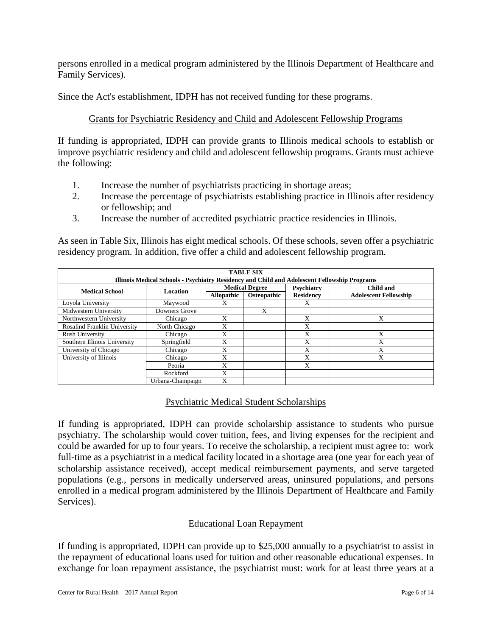persons enrolled in a medical program administered by the Illinois Department of Healthcare and Family Services).

Since the Act's establishment, IDPH has not received funding for these programs.

### Grants for Psychiatric Residency and Child and Adolescent Fellowship Programs

If funding is appropriated, IDPH can provide grants to Illinois medical schools to establish or improve psychiatric residency and child and adolescent fellowship programs. Grants must achieve the following:

- 1. Increase the number of psychiatrists practicing in shortage areas;
- 2. Increase the percentage of psychiatrists establishing practice in Illinois after residency or fellowship; and
- 3. Increase the number of accredited psychiatric practice residencies in Illinois.

As seen in Table Six, Illinois has eight medical schools. Of these schools, seven offer a psychiatric residency program. In addition, five offer a child and adolescent fellowship program.

| <b>TABLE SIX</b><br>Illinois Medical Schools - Psychiatry Residency and Child and Adolescent Fellowship Programs |                  |                   |                       |                   |                              |  |  |  |
|------------------------------------------------------------------------------------------------------------------|------------------|-------------------|-----------------------|-------------------|------------------------------|--|--|--|
| <b>Medical School</b>                                                                                            | Location         |                   | <b>Medical Degree</b> | <b>Psychiatry</b> | Child and                    |  |  |  |
|                                                                                                                  |                  | <b>Allopathic</b> | Osteopathic           | <b>Residency</b>  | <b>Adolescent Fellowship</b> |  |  |  |
| Loyola University                                                                                                | Maywood          | X                 |                       | X                 |                              |  |  |  |
| Midwestern University                                                                                            | Downers Grove    |                   | X                     |                   |                              |  |  |  |
| Northwestern University                                                                                          | Chicago          | X                 |                       | X                 | X                            |  |  |  |
| <b>Rosalind Franklin University</b>                                                                              | North Chicago    | X                 |                       | X                 |                              |  |  |  |
| Rush University                                                                                                  | Chicago          | X                 |                       | X                 | X                            |  |  |  |
| Southern Illinois University                                                                                     | Springfield      | X                 |                       | X                 | X                            |  |  |  |
| University of Chicago                                                                                            | Chicago          | X                 |                       | X                 | X                            |  |  |  |
| University of Illinois                                                                                           | Chicago          | X                 |                       | X                 | X                            |  |  |  |
|                                                                                                                  | Peoria           | X                 |                       | X                 |                              |  |  |  |
|                                                                                                                  | <b>Rockford</b>  | X                 |                       |                   |                              |  |  |  |
|                                                                                                                  | Urbana-Champaign | X                 |                       |                   |                              |  |  |  |

# Psychiatric Medical Student Scholarships

If funding is appropriated, IDPH can provide scholarship assistance to students who pursue psychiatry. The scholarship would cover tuition, fees, and living expenses for the recipient and could be awarded for up to four years. To receive the scholarship, a recipient must agree to: work full-time as a psychiatrist in a medical facility located in a shortage area (one year for each year of scholarship assistance received), accept medical reimbursement payments, and serve targeted populations (e.g., persons in medically underserved areas, uninsured populations, and persons enrolled in a medical program administered by the Illinois Department of Healthcare and Family Services).

#### Educational Loan Repayment

If funding is appropriated, IDPH can provide up to \$25,000 annually to a psychiatrist to assist in the repayment of educational loans used for tuition and other reasonable educational expenses. In exchange for loan repayment assistance, the psychiatrist must: work for at least three years at a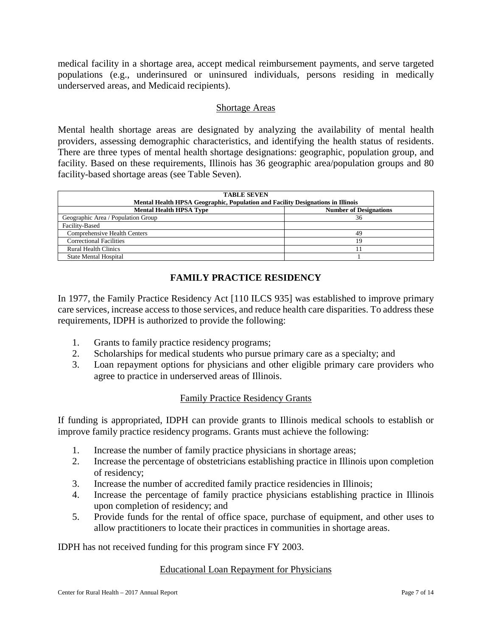medical facility in a shortage area, accept medical reimbursement payments, and serve targeted populations (e.g., underinsured or uninsured individuals, persons residing in medically underserved areas, and Medicaid recipients).

#### Shortage Areas

Mental health shortage areas are designated by analyzing the availability of mental health providers, assessing demographic characteristics, and identifying the health status of residents. There are three types of mental health shortage designations: geographic, population group, and facility. Based on these requirements, Illinois has 36 geographic area/population groups and 80 facility-based shortage areas (see Table Seven).

| <b>TABLE SEVEN</b><br>Mental Health HPSA Geographic, Population and Facility Designations in Illinois |                               |  |  |  |  |  |  |  |
|-------------------------------------------------------------------------------------------------------|-------------------------------|--|--|--|--|--|--|--|
| <b>Mental Health HPSA Type</b>                                                                        | <b>Number of Designations</b> |  |  |  |  |  |  |  |
| Geographic Area / Population Group                                                                    | 36                            |  |  |  |  |  |  |  |
| Facility-Based                                                                                        |                               |  |  |  |  |  |  |  |
| <b>Comprehensive Health Centers</b>                                                                   | 49                            |  |  |  |  |  |  |  |
| <b>Correctional Facilities</b>                                                                        | 19                            |  |  |  |  |  |  |  |
| <b>Rural Health Clinics</b>                                                                           |                               |  |  |  |  |  |  |  |
| <b>State Mental Hospital</b>                                                                          |                               |  |  |  |  |  |  |  |

#### **FAMILY PRACTICE RESIDENCY**

In 1977, the Family Practice Residency Act [110 ILCS 935] was established to improve primary care services, increase access to those services, and reduce health care disparities. To address these requirements, IDPH is authorized to provide the following:

- 1. Grants to family practice residency programs;
- 2. Scholarships for medical students who pursue primary care as a specialty; and
- 3. Loan repayment options for physicians and other eligible primary care providers who agree to practice in underserved areas of Illinois.

#### Family Practice Residency Grants

If funding is appropriated, IDPH can provide grants to Illinois medical schools to establish or improve family practice residency programs. Grants must achieve the following:

- 1. Increase the number of family practice physicians in shortage areas;
- 2. Increase the percentage of obstetricians establishing practice in Illinois upon completion of residency;
- 3. Increase the number of accredited family practice residencies in Illinois;
- 4. Increase the percentage of family practice physicians establishing practice in Illinois upon completion of residency; and
- 5. Provide funds for the rental of office space, purchase of equipment, and other uses to allow practitioners to locate their practices in communities in shortage areas.

IDPH has not received funding for this program since FY 2003.

#### Educational Loan Repayment for Physicians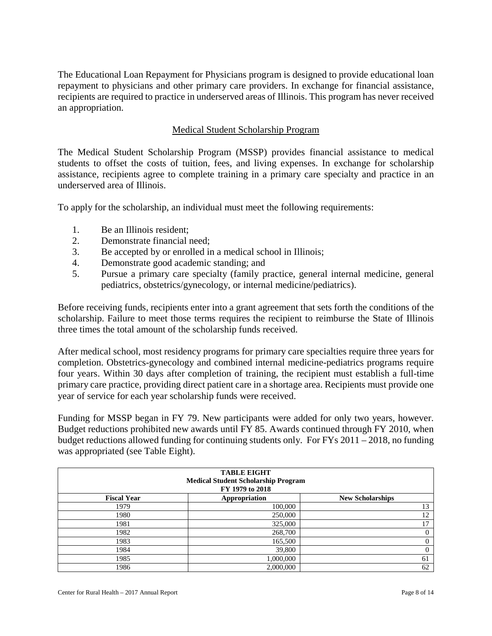The Educational Loan Repayment for Physicians program is designed to provide educational loan repayment to physicians and other primary care providers. In exchange for financial assistance, recipients are required to practice in underserved areas of Illinois. This program has never received an appropriation.

#### Medical Student Scholarship Program

The Medical Student Scholarship Program (MSSP) provides financial assistance to medical students to offset the costs of tuition, fees, and living expenses. In exchange for scholarship assistance, recipients agree to complete training in a primary care specialty and practice in an underserved area of Illinois.

To apply for the scholarship, an individual must meet the following requirements:

- 1. Be an Illinois resident;
- 2. Demonstrate financial need;
- 3. Be accepted by or enrolled in a medical school in Illinois;
- 4. Demonstrate good academic standing; and
- 5. Pursue a primary care specialty (family practice, general internal medicine, general pediatrics, obstetrics/gynecology, or internal medicine/pediatrics).

Before receiving funds, recipients enter into a grant agreement that sets forth the conditions of the scholarship. Failure to meet those terms requires the recipient to reimburse the State of Illinois three times the total amount of the scholarship funds received.

After medical school, most residency programs for primary care specialties require three years for completion. Obstetrics-gynecology and combined internal medicine-pediatrics programs require four years. Within 30 days after completion of training, the recipient must establish a full-time primary care practice, providing direct patient care in a shortage area. Recipients must provide one year of service for each year scholarship funds were received.

Funding for MSSP began in FY 79. New participants were added for only two years, however. Budget reductions prohibited new awards until FY 85. Awards continued through FY 2010, when budget reductions allowed funding for continuing students only. For FYs 2011 – 2018, no funding was appropriated (see Table Eight).

| <b>TABLE EIGHT</b>                         |                                          |          |  |  |  |  |  |  |  |
|--------------------------------------------|------------------------------------------|----------|--|--|--|--|--|--|--|
| <b>Medical Student Scholarship Program</b> |                                          |          |  |  |  |  |  |  |  |
| FY 1979 to 2018                            |                                          |          |  |  |  |  |  |  |  |
| <b>Fiscal Year</b>                         | Appropriation<br><b>New Scholarships</b> |          |  |  |  |  |  |  |  |
| 1979                                       | 100,000                                  | 13       |  |  |  |  |  |  |  |
| 1980                                       | 250,000                                  | 12       |  |  |  |  |  |  |  |
| 1981                                       | 325,000                                  | 17       |  |  |  |  |  |  |  |
| 1982                                       | 268,700                                  | $\theta$ |  |  |  |  |  |  |  |
| 1983                                       | 165,500                                  | $\Omega$ |  |  |  |  |  |  |  |
| 1984                                       | 39,800                                   | $\Omega$ |  |  |  |  |  |  |  |
| 1985                                       | 1,000,000                                | 61       |  |  |  |  |  |  |  |
| 1986                                       | 2,000,000                                | 62       |  |  |  |  |  |  |  |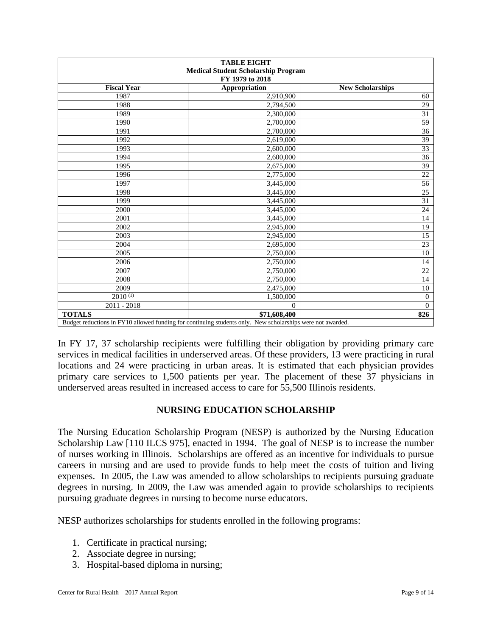| <b>TABLE EIGHT</b><br><b>Medical Student Scholarship Program</b><br>FY 1979 to 2018 |                                                                                                            |                         |  |  |  |  |  |
|-------------------------------------------------------------------------------------|------------------------------------------------------------------------------------------------------------|-------------------------|--|--|--|--|--|
| <b>Fiscal Year</b>                                                                  | Appropriation                                                                                              | <b>New Scholarships</b> |  |  |  |  |  |
| 1987                                                                                | 2,910,900                                                                                                  | 60                      |  |  |  |  |  |
| 1988                                                                                | 2,794,500                                                                                                  | 29                      |  |  |  |  |  |
| 1989                                                                                | 2,300,000                                                                                                  | $\overline{31}$         |  |  |  |  |  |
| 1990                                                                                | 2,700,000                                                                                                  | 59                      |  |  |  |  |  |
| 1991                                                                                | 2,700,000                                                                                                  | 36                      |  |  |  |  |  |
| 1992                                                                                | 2,619,000                                                                                                  | 39                      |  |  |  |  |  |
| 1993                                                                                | 2,600,000                                                                                                  | 33                      |  |  |  |  |  |
| 1994                                                                                | 2,600,000                                                                                                  | $\overline{36}$         |  |  |  |  |  |
| 1995                                                                                | 2,675,000                                                                                                  | 39                      |  |  |  |  |  |
| 1996                                                                                | 2,775,000                                                                                                  | 22                      |  |  |  |  |  |
| 1997                                                                                | 3,445,000                                                                                                  | 56                      |  |  |  |  |  |
| 1998                                                                                | 3,445,000                                                                                                  | 25                      |  |  |  |  |  |
| 1999                                                                                | 3,445,000                                                                                                  | $\overline{31}$         |  |  |  |  |  |
| 2000                                                                                | 3,445,000                                                                                                  | $\overline{24}$         |  |  |  |  |  |
| 2001                                                                                | 3,445,000                                                                                                  | 14                      |  |  |  |  |  |
| 2002                                                                                | 2,945,000                                                                                                  | 19                      |  |  |  |  |  |
| 2003                                                                                | 2,945,000                                                                                                  | $\overline{15}$         |  |  |  |  |  |
| 2004                                                                                | 2,695,000                                                                                                  | 23                      |  |  |  |  |  |
| 2005                                                                                | 2,750,000                                                                                                  | 10                      |  |  |  |  |  |
| 2006                                                                                | 2,750,000                                                                                                  | 14                      |  |  |  |  |  |
| 2007                                                                                | 2,750,000                                                                                                  | 22                      |  |  |  |  |  |
| 2008                                                                                | 2,750,000                                                                                                  | 14                      |  |  |  |  |  |
| 2009                                                                                | 2,475,000                                                                                                  | 10                      |  |  |  |  |  |
| $2010^{(1)}$                                                                        | 1,500,000                                                                                                  | $\boldsymbol{0}$        |  |  |  |  |  |
| $2011 - 2018$                                                                       | $\Omega$                                                                                                   | $\Omega$                |  |  |  |  |  |
| <b>TOTALS</b>                                                                       | \$71,608,400                                                                                               | 826                     |  |  |  |  |  |
|                                                                                     | Budget reductions in FY10 allowed funding for continuing students only. New scholarships were not awarded. |                         |  |  |  |  |  |

In FY 17, 37 scholarship recipients were fulfilling their obligation by providing primary care services in medical facilities in underserved areas. Of these providers, 13 were practicing in rural locations and 24 were practicing in urban areas. It is estimated that each physician provides primary care services to 1,500 patients per year. The placement of these 37 physicians in underserved areas resulted in increased access to care for 55,500 Illinois residents.

# **NURSING EDUCATION SCHOLARSHIP**

The Nursing Education Scholarship Program (NESP) is authorized by the Nursing Education Scholarship Law [110 ILCS 975], enacted in 1994. The goal of NESP is to increase the number of nurses working in Illinois. Scholarships are offered as an incentive for individuals to pursue careers in nursing and are used to provide funds to help meet the costs of tuition and living expenses. In 2005, the Law was amended to allow scholarships to recipients pursuing graduate degrees in nursing. In 2009, the Law was amended again to provide scholarships to recipients pursuing graduate degrees in nursing to become nurse educators.

NESP authorizes scholarships for students enrolled in the following programs:

- 1. Certificate in practical nursing;
- 2. Associate degree in nursing;
- 3. Hospital-based diploma in nursing;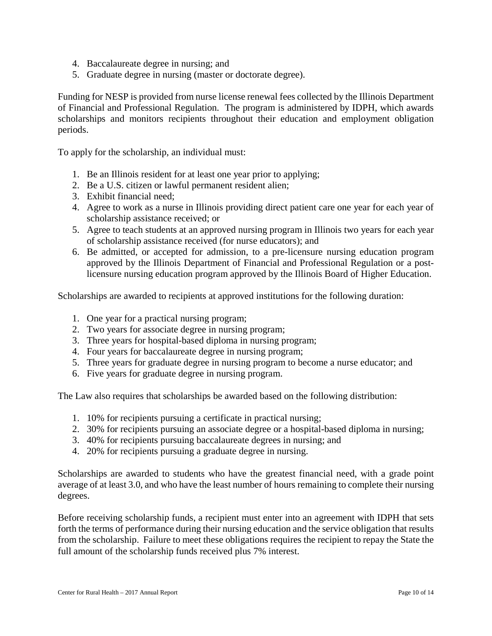- 4. Baccalaureate degree in nursing; and
- 5. Graduate degree in nursing (master or doctorate degree).

Funding for NESP is provided from nurse license renewal fees collected by the Illinois Department of Financial and Professional Regulation. The program is administered by IDPH, which awards scholarships and monitors recipients throughout their education and employment obligation periods.

To apply for the scholarship, an individual must:

- 1. Be an Illinois resident for at least one year prior to applying;
- 2. Be a U.S. citizen or lawful permanent resident alien;
- 3. Exhibit financial need;
- 4. Agree to work as a nurse in Illinois providing direct patient care one year for each year of scholarship assistance received; or
- 5. Agree to teach students at an approved nursing program in Illinois two years for each year of scholarship assistance received (for nurse educators); and
- 6. Be admitted, or accepted for admission, to a pre-licensure nursing education program approved by the Illinois Department of Financial and Professional Regulation or a postlicensure nursing education program approved by the Illinois Board of Higher Education.

Scholarships are awarded to recipients at approved institutions for the following duration:

- 1. One year for a practical nursing program;
- 2. Two years for associate degree in nursing program;
- 3. Three years for hospital-based diploma in nursing program;
- 4. Four years for baccalaureate degree in nursing program;
- 5. Three years for graduate degree in nursing program to become a nurse educator; and
- 6. Five years for graduate degree in nursing program.

The Law also requires that scholarships be awarded based on the following distribution:

- 1. 10% for recipients pursuing a certificate in practical nursing;
- 2. 30% for recipients pursuing an associate degree or a hospital-based diploma in nursing;
- 3. 40% for recipients pursuing baccalaureate degrees in nursing; and
- 4. 20% for recipients pursuing a graduate degree in nursing.

Scholarships are awarded to students who have the greatest financial need, with a grade point average of at least 3.0, and who have the least number of hours remaining to complete their nursing degrees.

Before receiving scholarship funds, a recipient must enter into an agreement with IDPH that sets forth the terms of performance during their nursing education and the service obligation that results from the scholarship. Failure to meet these obligations requires the recipient to repay the State the full amount of the scholarship funds received plus 7% interest.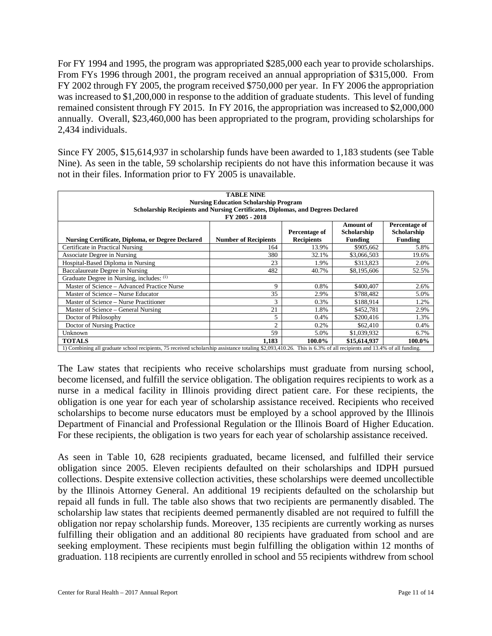For FY 1994 and 1995, the program was appropriated \$285,000 each year to provide scholarships. From FYs 1996 through 2001, the program received an annual appropriation of \$315,000. From FY 2002 through FY 2005, the program received \$750,000 per year. In FY 2006 the appropriation was increased to \$1,200,000 in response to the addition of graduate students. This level of funding remained consistent through FY 2015. In FY 2016, the appropriation was increased to \$2,000,000 annually. Overall, \$23,460,000 has been appropriated to the program, providing scholarships for 2,434 individuals.

Since FY 2005, \$15,614,937 in scholarship funds have been awarded to 1,183 students (see Table Nine). As seen in the table, 59 scholarship recipients do not have this information because it was not in their files. Information prior to FY 2005 is unavailable.

| <b>TABLE NINE</b><br><b>Nursing Education Scholarship Program</b><br>Scholarship Recipients and Nursing Certificates, Diplomas, and Degrees Declared<br>FY 2005 - 2018                                                              |                |        |              |        |  |  |  |  |  |  |
|-------------------------------------------------------------------------------------------------------------------------------------------------------------------------------------------------------------------------------------|----------------|--------|--------------|--------|--|--|--|--|--|--|
| <b>Amount of</b><br>Percentage of<br>Scholarship<br>Scholarship<br>Percentage of<br><b>Nursing Certificate, Diploma, or Degree Declared</b><br><b>Number of Recipients</b><br><b>Recipients</b><br><b>Funding</b><br><b>Funding</b> |                |        |              |        |  |  |  |  |  |  |
| Certificate in Practical Nursing                                                                                                                                                                                                    | 164            | 13.9%  | \$905,662    | 5.8%   |  |  |  |  |  |  |
| Associate Degree in Nursing                                                                                                                                                                                                         | 380            | 32.1%  | \$3,066,503  | 19.6%  |  |  |  |  |  |  |
| Hospital-Based Diploma in Nursing                                                                                                                                                                                                   | 23             | 1.9%   | \$313,823    | 2.0%   |  |  |  |  |  |  |
| Baccalaureate Degree in Nursing                                                                                                                                                                                                     | 482            | 40.7%  | \$8,195,606  | 52.5%  |  |  |  |  |  |  |
| Graduate Degree in Nursing, includes: (1)                                                                                                                                                                                           |                |        |              |        |  |  |  |  |  |  |
| Master of Science – Advanced Practice Nurse                                                                                                                                                                                         | 9              | 0.8%   | \$400,407    | 2.6%   |  |  |  |  |  |  |
| Master of Science – Nurse Educator                                                                                                                                                                                                  | 35             | 2.9%   | \$788.482    | 5.0%   |  |  |  |  |  |  |
| Master of Science – Nurse Practitioner                                                                                                                                                                                              | 3              | 0.3%   | \$188,914    | 1.2%   |  |  |  |  |  |  |
| Master of Science – General Nursing                                                                                                                                                                                                 | 21             | 1.8%   | \$452,781    | 2.9%   |  |  |  |  |  |  |
| Doctor of Philosophy                                                                                                                                                                                                                | 5              | 0.4%   | \$200,416    | 1.3%   |  |  |  |  |  |  |
| Doctor of Nursing Practice                                                                                                                                                                                                          | $\overline{c}$ | 0.2%   | \$62,410     | 0.4%   |  |  |  |  |  |  |
| Unknown                                                                                                                                                                                                                             | 59             | 5.0%   | \$1,039,932  | 6.7%   |  |  |  |  |  |  |
| <b>TOTALS</b>                                                                                                                                                                                                                       | 1.183          | 100.0% | \$15,614,937 | 100.0% |  |  |  |  |  |  |
| 1) Combining all graduate school recipients, 75 received scholarship assistance totaling \$2,093,410.26. This is 6.3% of all recipients and 13.4% of all funding.                                                                   |                |        |              |        |  |  |  |  |  |  |

The Law states that recipients who receive scholarships must graduate from nursing school, become licensed, and fulfill the service obligation. The obligation requires recipients to work as a nurse in a medical facility in Illinois providing direct patient care. For these recipients, the obligation is one year for each year of scholarship assistance received. Recipients who received scholarships to become nurse educators must be employed by a school approved by the Illinois Department of Financial and Professional Regulation or the Illinois Board of Higher Education. For these recipients, the obligation is two years for each year of scholarship assistance received.

As seen in Table 10, 628 recipients graduated, became licensed, and fulfilled their service obligation since 2005. Eleven recipients defaulted on their scholarships and IDPH pursued collections. Despite extensive collection activities, these scholarships were deemed uncollectible by the Illinois Attorney General. An additional 19 recipients defaulted on the scholarship but repaid all funds in full. The table also shows that two recipients are permanently disabled. The scholarship law states that recipients deemed permanently disabled are not required to fulfill the obligation nor repay scholarship funds. Moreover, 135 recipients are currently working as nurses fulfilling their obligation and an additional 80 recipients have graduated from school and are seeking employment. These recipients must begin fulfilling the obligation within 12 months of graduation. 118 recipients are currently enrolled in school and 55 recipients withdrew from school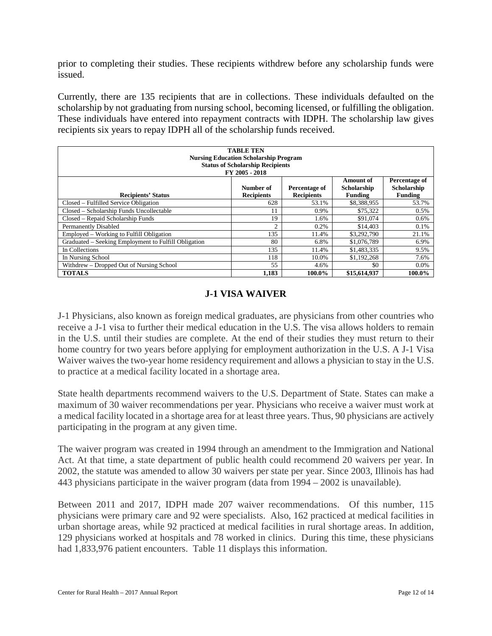prior to completing their studies. These recipients withdrew before any scholarship funds were issued.

Currently, there are 135 recipients that are in collections. These individuals defaulted on the scholarship by not graduating from nursing school, becoming licensed, or fulfilling the obligation. These individuals have entered into repayment contracts with IDPH. The scholarship law gives recipients six years to repay IDPH all of the scholarship funds received.

| <b>TABLE TEN</b><br><b>Nursing Education Scholarship Program</b><br><b>Status of Scholarship Recipients</b>                                                                                                  |                |        |              |         |  |  |  |  |  |  |
|--------------------------------------------------------------------------------------------------------------------------------------------------------------------------------------------------------------|----------------|--------|--------------|---------|--|--|--|--|--|--|
| FY 2005 - 2018<br><b>Amount of</b><br>Percentage of<br>Scholarship<br>Number of<br>Scholarship<br>Percentage of<br><b>Recipients</b><br><b>Recipients</b><br>Funding<br>Funding<br><b>Recipients' Status</b> |                |        |              |         |  |  |  |  |  |  |
| Closed – Fulfilled Service Obligation                                                                                                                                                                        | 628            | 53.1%  | \$8,388,955  | 53.7%   |  |  |  |  |  |  |
| Closed – Scholarship Funds Uncollectable                                                                                                                                                                     | 11             | 0.9%   | \$75,322     | 0.5%    |  |  |  |  |  |  |
| Closed – Repaid Scholarship Funds                                                                                                                                                                            | 19             | 1.6%   | \$91,074     | $0.6\%$ |  |  |  |  |  |  |
| <b>Permanently Disabled</b>                                                                                                                                                                                  | $\overline{c}$ | 0.2%   | \$14,403     | 0.1%    |  |  |  |  |  |  |
| Employed – Working to Fulfill Obligation                                                                                                                                                                     | 135            | 11.4%  | \$3,292,790  | 21.1%   |  |  |  |  |  |  |
| Graduated – Seeking Employment to Fulfill Obligation                                                                                                                                                         | 80             | 6.8%   | \$1,076,789  | 6.9%    |  |  |  |  |  |  |
| In Collections                                                                                                                                                                                               | 135            | 11.4%  | \$1,483,335  | 9.5%    |  |  |  |  |  |  |
| In Nursing School                                                                                                                                                                                            | 118            | 10.0%  | \$1,192,268  | 7.6%    |  |  |  |  |  |  |
| Withdrew – Dropped Out of Nursing School                                                                                                                                                                     | 55             | 4.6%   | \$0          | $0.0\%$ |  |  |  |  |  |  |
| <b>TOTALS</b>                                                                                                                                                                                                | 1,183          | 100.0% | \$15,614,937 | 100.0%  |  |  |  |  |  |  |

#### **J-1 VISA WAIVER**

J-1 Physicians, also known as foreign medical graduates, are physicians from other countries who receive a J-1 visa to further their medical education in the U.S. The visa allows holders to remain in the U.S. until their studies are complete. At the end of their studies they must return to their home country for two years before applying for employment authorization in the U.S. A J-1 Visa Waiver waives the two-year home residency requirement and allows a physician to stay in the U.S. to practice at a medical facility located in a shortage area.

State health departments recommend waivers to the U.S. Department of State. States can make a maximum of 30 waiver recommendations per year. Physicians who receive a waiver must work at a medical facility located in a shortage area for at least three years. Thus, 90 physicians are actively participating in the program at any given time.

The waiver program was created in 1994 through an amendment to the Immigration and National Act. At that time, a state department of public health could recommend 20 waivers per year. In 2002, the statute was amended to allow 30 waivers per state per year. Since 2003, Illinois has had 443 physicians participate in the waiver program (data from 1994 – 2002 is unavailable).

Between 2011 and 2017, IDPH made 207 waiver recommendations. Of this number, 115 physicians were primary care and 92 were specialists. Also, 162 practiced at medical facilities in urban shortage areas, while 92 practiced at medical facilities in rural shortage areas. In addition, 129 physicians worked at hospitals and 78 worked in clinics. During this time, these physicians had 1,833,976 patient encounters. Table 11 displays this information.